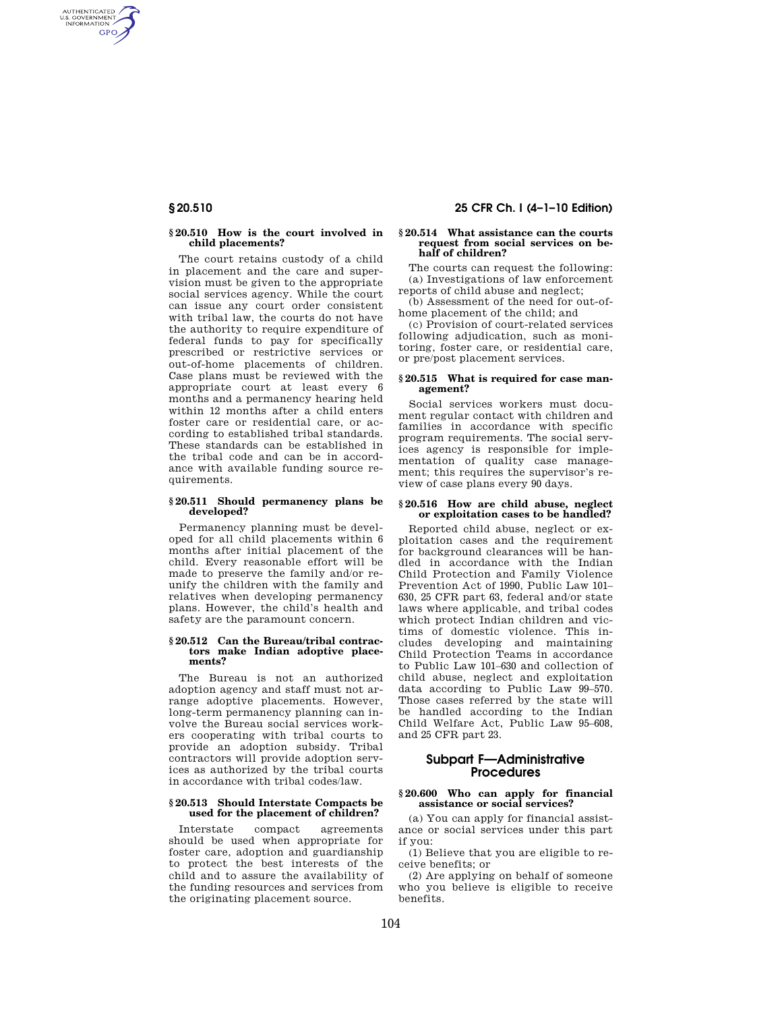AUTHENTICATED<br>U.S. GOVERNMENT<br>INFORMATION **GPO** 

## **§ 20.510 How is the court involved in child placements?**

The court retains custody of a child in placement and the care and supervision must be given to the appropriate social services agency. While the court can issue any court order consistent with tribal law, the courts do not have the authority to require expenditure of federal funds to pay for specifically prescribed or restrictive services or out-of-home placements of children. Case plans must be reviewed with the appropriate court at least every 6 months and a permanency hearing held within 12 months after a child enters foster care or residential care, or according to established tribal standards. These standards can be established in the tribal code and can be in accordance with available funding source requirements.

## **§ 20.511 Should permanency plans be developed?**

Permanency planning must be developed for all child placements within 6 months after initial placement of the child. Every reasonable effort will be made to preserve the family and/or reunify the children with the family and relatives when developing permanency plans. However, the child's health and safety are the paramount concern.

## **§ 20.512 Can the Bureau/tribal contractors make Indian adoptive placements?**

The Bureau is not an authorized adoption agency and staff must not arrange adoptive placements. However, long-term permanency planning can involve the Bureau social services workers cooperating with tribal courts to provide an adoption subsidy. Tribal contractors will provide adoption services as authorized by the tribal courts in accordance with tribal codes/law.

## **§ 20.513 Should Interstate Compacts be used for the placement of children?**

Interstate compact agreements should be used when appropriate for foster care, adoption and guardianship to protect the best interests of the child and to assure the availability of the funding resources and services from the originating placement source.

# **§ 20.510 25 CFR Ch. I (4–1–10 Edition)**

## **§ 20.514 What assistance can the courts request from social services on behalf of children?**

The courts can request the following: (a) Investigations of law enforcement reports of child abuse and neglect;

(b) Assessment of the need for out-ofhome placement of the child; and

(c) Provision of court-related services following adjudication, such as monitoring, foster care, or residential care, or pre/post placement services.

## **§ 20.515 What is required for case management?**

Social services workers must document regular contact with children and families in accordance with specific program requirements. The social services agency is responsible for implementation of quality case management; this requires the supervisor's review of case plans every 90 days.

# **§ 20.516 How are child abuse, neglect or exploitation cases to be handled?**

Reported child abuse, neglect or exploitation cases and the requirement for background clearances will be handled in accordance with the Indian Child Protection and Family Violence Prevention Act of 1990, Public Law 101– 630, 25 CFR part 63, federal and/or state laws where applicable, and tribal codes which protect Indian children and victims of domestic violence. This includes developing and maintaining Child Protection Teams in accordance to Public Law 101–630 and collection of child abuse, neglect and exploitation data according to Public Law 99–570. Those cases referred by the state will be handled according to the Indian Child Welfare Act, Public Law 95–608, and 25 CFR part 23.

# **Subpart F—Administrative Procedures**

# **§ 20.600 Who can apply for financial assistance or social services?**

(a) You can apply for financial assistance or social services under this part if you:

(1) Believe that you are eligible to receive benefits; or

(2) Are applying on behalf of someone who you believe is eligible to receive benefits.